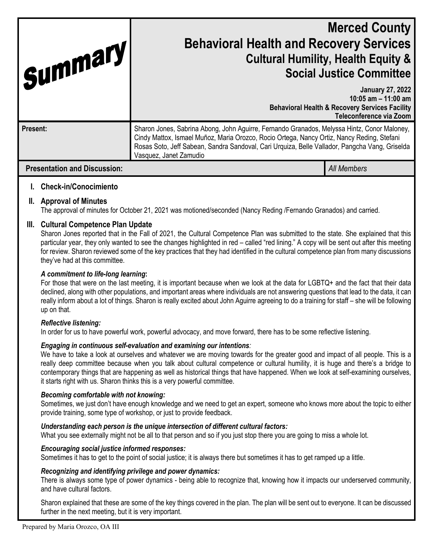| Summary                             | <b>Merced County</b><br><b>Behavioral Health and Recovery Services</b><br><b>Cultural Humility, Health Equity &amp;</b><br><b>Social Justice Committee</b>                                                                                                                                                            |                                                                                                                                          |
|-------------------------------------|-----------------------------------------------------------------------------------------------------------------------------------------------------------------------------------------------------------------------------------------------------------------------------------------------------------------------|------------------------------------------------------------------------------------------------------------------------------------------|
|                                     |                                                                                                                                                                                                                                                                                                                       | <b>January 27, 2022</b><br>10:05 $am - 11:00$ am<br><b>Behavioral Health &amp; Recovery Services Facility</b><br>Teleconference via Zoom |
| Present:                            | Sharon Jones, Sabrina Abong, John Aguirre, Fernando Granados, Melyssa Hintz, Conor Maloney,<br>Cindy Mattox, Ismael Muñoz, Maria Orozco, Rocio Ortega, Nancy Ortiz, Nancy Reding, Stefani<br>Rosas Soto, Jeff Sabean, Sandra Sandoval, Cari Urguiza, Belle Vallador, Pangcha Vang, Griselda<br>Vasquez, Janet Zamudio |                                                                                                                                          |
| <b>Presentation and Discussion:</b> |                                                                                                                                                                                                                                                                                                                       | All Members                                                                                                                              |

# **I. Check-in/Conocimiento**

## **II. Approval of Minutes**

The approval of minutes for October 21, 2021 was motioned/seconded (Nancy Reding /Fernando Granados) and carried.

### **III. Cultural Competence Plan Update**

Sharon Jones reported that in the Fall of 2021, the Cultural Competence Plan was submitted to the state. She explained that this particular year, they only wanted to see the changes highlighted in red – called "red lining." A copy will be sent out after this meeting for review. Sharon reviewed some of the key practices that they had identified in the cultural competence plan from many discussions they've had at this committee.

#### *A commitment to life-long learning***:**

For those that were on the last meeting, it is important because when we look at the data for LGBTQ+ and the fact that their data declined, along with other populations, and important areas where individuals are not answering questions that lead to the data, it can really inform about a lot of things. Sharon is really excited about John Aguirre agreeing to do a training for staff – she will be following up on that.

#### *Reflective listening:*

In order for us to have powerful work, powerful advocacy, and move forward, there has to be some reflective listening.

#### *Engaging in continuous self-evaluation and examining our intentions:*

We have to take a look at ourselves and whatever we are moving towards for the greater good and impact of all people. This is a really deep committee because when you talk about cultural competence or cultural humility, it is huge and there's a bridge to contemporary things that are happening as well as historical things that have happened. When we look at self-examining ourselves, it starts right with us. Sharon thinks this is a very powerful committee.

#### *Becoming comfortable with not knowing:*

Sometimes, we just don't have enough knowledge and we need to get an expert, someone who knows more about the topic to either provide training, some type of workshop, or just to provide feedback.

#### *Understanding each person is the unique intersection of different cultural factors:*

What you see externally might not be all to that person and so if you just stop there you are going to miss a whole lot.

#### *Encouraging social justice informed responses:*

Sometimes it has to get to the point of social justice; it is always there but sometimes it has to get ramped up a little.

### *Recognizing and identifying privilege and power dynamics:*

There is always some type of power dynamics - being able to recognize that, knowing how it impacts our underserved community, and have cultural factors.

Sharon explained that these are some of the key things covered in the plan. The plan will be sent out to everyone. It can be discussed further in the next meeting, but it is very important.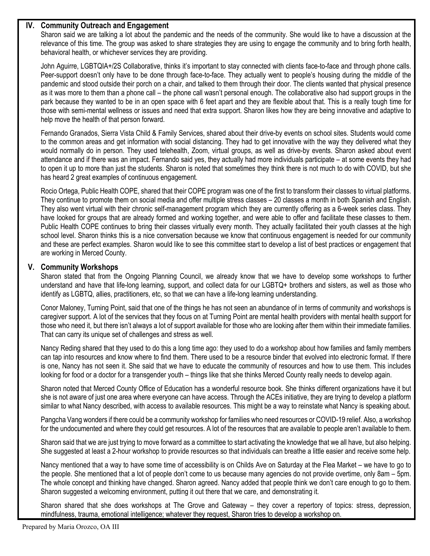## **IV. Community Outreach and Engagement**

Sharon said we are talking a lot about the pandemic and the needs of the community. She would like to have a discussion at the relevance of this time. The group was asked to share strategies they are using to engage the community and to bring forth health, behavioral health, or whichever services they are providing.

John Aguirre, LGBTQIA+/2S Collaborative, thinks it's important to stay connected with clients face-to-face and through phone calls. Peer-support doesn't only have to be done through face-to-face. They actually went to people's housing during the middle of the pandemic and stood outside their porch on a chair, and talked to them through their door. The clients wanted that physical presence as it was more to them than a phone call – the phone call wasn't personal enough. The collaborative also had support groups in the park because they wanted to be in an open space with 6 feet apart and they are flexible about that. This is a really tough time for those with semi-mental wellness or issues and need that extra support. Sharon likes how they are being innovative and adaptive to help move the health of that person forward.

Fernando Granados, Sierra Vista Child & Family Services, shared about their drive-by events on school sites. Students would come to the common areas and get information with social distancing. They had to get innovative with the way they delivered what they would normally do in person. They used telehealth, Zoom, virtual groups, as well as drive-by events. Sharon asked about event attendance and if there was an impact. Fernando said yes, they actually had more individuals participate – at some events they had to open it up to more than just the students. Sharon is noted that sometimes they think there is not much to do with COVID, but she has heard 2 great examples of continuous engagement.

Rocio Ortega, Public Health COPE, shared that their COPE program was one of the first to transform their classes to virtual platforms. They continue to promote them on social media and offer multiple stress classes – 20 classes a month in both Spanish and English. They also went virtual with their chronic self-management program which they are currently offering as a 6-week series class. They have looked for groups that are already formed and working together, and were able to offer and facilitate these classes to them. Public Health COPE continues to bring their classes virtually every month. They actually facilitated their youth classes at the high school level. Sharon thinks this is a nice conversation because we know that continuous engagement is needed for our community and these are perfect examples. Sharon would like to see this committee start to develop a list of best practices or engagement that are working in Merced County.

## **V. Community Workshops**

Sharon stated that from the Ongoing Planning Council, we already know that we have to develop some workshops to further understand and have that life-long learning, support, and collect data for our LGBTQ+ brothers and sisters, as well as those who identify as LGBTQ, allies, practitioners, etc, so that we can have a life-long learning understanding.

Conor Maloney, Turning Point, said that one of the things he has not seen an abundance of in terms of community and workshops is caregiver support. A lot of the services that they focus on at Turning Point are mental health providers with mental health support for those who need it, but there isn't always a lot of support available for those who are looking after them within their immediate families. That can carry its unique set of challenges and stress as well.

Nancy Reding shared that they used to do this a long time ago: they used to do a workshop about how families and family members can tap into resources and know where to find them. There used to be a resource binder that evolved into electronic format. If there is one, Nancy has not seen it. She said that we have to educate the community of resources and how to use them. This includes looking for food or a doctor for a transgender youth – things like that she thinks Merced County really needs to develop again.

Sharon noted that Merced County Office of Education has a wonderful resource book. She thinks different organizations have it but she is not aware of just one area where everyone can have access. Through the ACEs initiative, they are trying to develop a platform similar to what Nancy described, with access to available resources. This might be a way to reinstate what Nancy is speaking about.

Pangcha Vang wonders if there could be a community workshop for families who need resources or COVID-19 relief. Also, a workshop for the undocumented and where they could get resources. A lot of the resources that are available to people aren't available to them.

Sharon said that we are just trying to move forward as a committee to start activating the knowledge that we all have, but also helping. She suggested at least a 2-hour workshop to provide resources so that individuals can breathe a little easier and receive some help.

Nancy mentioned that a way to have some time of accessibility is on Childs Ave on Saturday at the Flea Market – we have to go to the people. She mentioned that a lot of people don't come to us because many agencies do not provide overtime, only 8am – 5pm. The whole concept and thinking have changed. Sharon agreed. Nancy added that people think we don't care enough to go to them. Sharon suggested a welcoming environment, putting it out there that we care, and demonstrating it.

Sharon shared that she does workshops at The Grove and Gateway – they cover a repertory of topics: stress, depression, mindfulness, trauma, emotional intelligence; whatever they request, Sharon tries to develop a workshop on.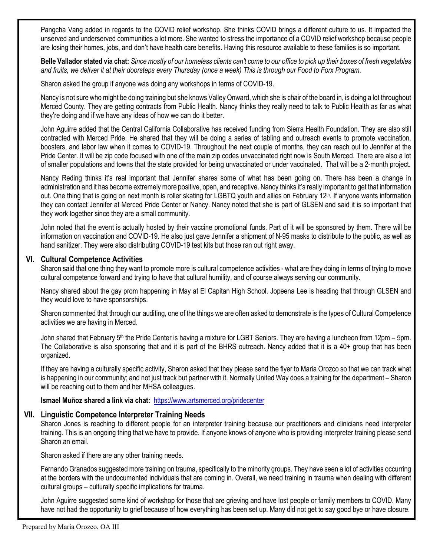Pangcha Vang added in regards to the COVID relief workshop. She thinks COVID brings a different culture to us. It impacted the unserved and underserved communities a lot more. She wanted to stress the importance of a COVID relief workshop because people are losing their homes, jobs, and don't have health care benefits. Having this resource available to these families is so important.

**Belle Vallador stated via chat:** *Since mostly of our homeless clients can't come to our office to pick up their boxes of fresh vegetables and fruits, we deliver it at their doorsteps every Thursday (once a week) This is through our Food to Forx Program.*

Sharon asked the group if anyone was doing any workshops in terms of COVID-19.

Nancy is not sure who might be doing training but she knows Valley Onward, which she is chair of the board in, is doing a lot throughout Merced County. They are getting contracts from Public Health. Nancy thinks they really need to talk to Public Health as far as what they're doing and if we have any ideas of how we can do it better.

John Aguirre added that the Central California Collaborative has received funding from Sierra Health Foundation. They are also still contracted with Merced Pride. He shared that they will be doing a series of tabling and outreach events to promote vaccination, boosters, and labor law when it comes to COVID-19. Throughout the next couple of months, they can reach out to Jennifer at the Pride Center. It will be zip code focused with one of the main zip codes unvaccinated right now is South Merced. There are also a lot of smaller populations and towns that the state provided for being unvaccinated or under vaccinated. That will be a 2-month project.

Nancy Reding thinks it's real important that Jennifer shares some of what has been going on. There has been a change in administration and it has become extremely more positive, open, and receptive. Nancy thinks it's really important to get that information out. One thing that is going on next month is roller skating for LGBTQ youth and allies on February 12<sup>th</sup>. If anyone wants information they can contact Jennifer at Merced Pride Center or Nancy. Nancy noted that she is part of GLSEN and said it is so important that they work together since they are a small community.

John noted that the event is actually hosted by their vaccine promotional funds. Part of it will be sponsored by them. There will be information on vaccination and COVID-19. He also just gave Jennifer a shipment of N-95 masks to distribute to the public, as well as hand sanitizer. They were also distributing COVID-19 test kits but those ran out right away.

# **VI. Cultural Competence Activities**

Sharon said that one thing they want to promote more is cultural competence activities - what are they doing in terms of trying to move cultural competence forward and trying to have that cultural humility, and of course always serving our community.

Nancy shared about the gay prom happening in May at El Capitan High School. Jopeena Lee is heading that through GLSEN and they would love to have sponsorships.

Sharon commented that through our auditing, one of the things we are often asked to demonstrate is the types of Cultural Competence activities we are having in Merced.

John shared that February 5th the Pride Center is having a mixture for LGBT Seniors. They are having a luncheon from 12pm – 5pm. The Collaborative is also sponsoring that and it is part of the BHRS outreach. Nancy added that it is a 40+ group that has been organized.

If they are having a culturally specific activity, Sharon asked that they please send the flyer to Maria Orozco so that we can track what is happening in our community; and not just track but partner with it. Normally United Way does a training for the department – Sharon will be reaching out to them and her MHSA colleagues.

**Ismael Muñoz shared a link via chat:** <https://www.artsmerced.org/pridecenter>

## **VII. Linguistic Competence Interpreter Training Needs**

Sharon Jones is reaching to different people for an interpreter training because our practitioners and clinicians need interpreter training. This is an ongoing thing that we have to provide. If anyone knows of anyone who is providing interpreter training please send Sharon an email.

Sharon asked if there are any other training needs.

Fernando Granados suggested more training on trauma, specifically to the minority groups. They have seen a lot of activities occurring at the borders with the undocumented individuals that are coming in. Overall, we need training in trauma when dealing with different cultural groups – culturally specific implications for trauma.

John Aguirre suggested some kind of workshop for those that are grieving and have lost people or family members to COVID. Many have not had the opportunity to grief because of how everything has been set up. Many did not get to say good bye or have closure.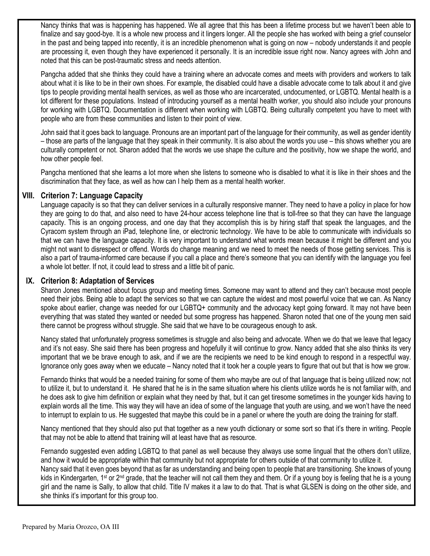Nancy thinks that was is happening has happened. We all agree that this has been a lifetime process but we haven't been able to finalize and say good-bye. It is a whole new process and it lingers longer. All the people she has worked with being a grief counselor in the past and being tapped into recently, it is an incredible phenomenon what is going on now – nobody understands it and people are processing it, even though they have experienced it personally. It is an incredible issue right now. Nancy agrees with John and noted that this can be post-traumatic stress and needs attention.

Pangcha added that she thinks they could have a training where an advocate comes and meets with providers and workers to talk about what it is like to be in their own shoes. For example, the disabled could have a disable advocate come to talk about it and give tips to people providing mental health services, as well as those who are incarcerated, undocumented, or LGBTQ. Mental health is a lot different for these populations. Instead of introducing yourself as a mental health worker, you should also include your pronouns for working with LGBTQ. Documentation is different when working with LGBTQ. Being culturally competent you have to meet with people who are from these communities and listen to their point of view.

John said that it goes back to language. Pronouns are an important part of the language for their community, as well as gender identity – those are parts of the language that they speak in their community. It is also about the words you use – this shows whether you are culturally competent or not. Sharon added that the words we use shape the culture and the positivity, how we shape the world, and how other people feel.

Pangcha mentioned that she learns a lot more when she listens to someone who is disabled to what it is like in their shoes and the discrimination that they face, as well as how can I help them as a mental health worker.

# **VIII. Criterion 7: Language Capacity**

Language capacity is so that they can deliver services in a culturally responsive manner. They need to have a policy in place for how they are going to do that, and also need to have 24-hour access telephone line that is toll-free so that they can have the language capacity. This is an ongoing process, and one day that they accomplish this is by hiring staff that speak the languages, and the Cyracom system through an iPad, telephone line, or electronic technology. We have to be able to communicate with individuals so that we can have the language capacity. It is very important to understand what words mean because it might be different and you might not want to disrespect or offend. Words do change meaning and we need to meet the needs of those getting services. This is also a part of trauma-informed care because if you call a place and there's someone that you can identify with the language you feel a whole lot better. If not, it could lead to stress and a little bit of panic.

## **IX. Criterion 8: Adaptation of Services**

Sharon Jones mentioned about focus group and meeting times. Someone may want to attend and they can't because most people need their jobs. Being able to adapt the services so that we can capture the widest and most powerful voice that we can. As Nancy spoke about earlier, change was needed for our LGBTQ+ community and the advocacy kept going forward. It may not have been everything that was stated they wanted or needed but some progress has happened. Sharon noted that one of the young men said there cannot be progress without struggle. She said that we have to be courageous enough to ask.

Nancy stated that unfortunately progress sometimes is struggle and also being and advocate. When we do that we leave that legacy and it's not easy. She said there has been progress and hopefully it will continue to grow. Nancy added that she also thinks its very important that we be brave enough to ask, and if we are the recipients we need to be kind enough to respond in a respectful way. Ignorance only goes away when we educate – Nancy noted that it took her a couple years to figure that out but that is how we grow.

Fernando thinks that would be a needed training for some of them who maybe are out of that language that is being utilized now; not to utilize it, but to understand it. He shared that he is in the same situation where his clients utilize words he is not familiar with, and he does ask to give him definition or explain what they need by that, but it can get tiresome sometimes in the younger kids having to explain words all the time. This way they will have an idea of some of the language that youth are using, and we won't have the need to interrupt to explain to us. He suggested that maybe this could be in a panel or where the youth are doing the training for staff.

Nancy mentioned that they should also put that together as a new youth dictionary or some sort so that it's there in writing. People that may not be able to attend that training will at least have that as resource.

Fernando suggested even adding LGBTQ to that panel as well because they always use some lingual that the others don't utilize, and how it would be appropriate within that community but not appropriate for others outside of that community to utilize it. Nancy said that it even goes beyond that as far as understanding and being open to people that are transitioning. She knows of young kids in Kindergarten, 1<sup>st</sup> or 2<sup>nd</sup> grade, that the teacher will not call them they and them. Or if a young boy is feeling that he is a young girl and the name is Sally, to allow that child. Title IV makes it a law to do that. That is what GLSEN is doing on the other side, and

she thinks it's important for this group too.